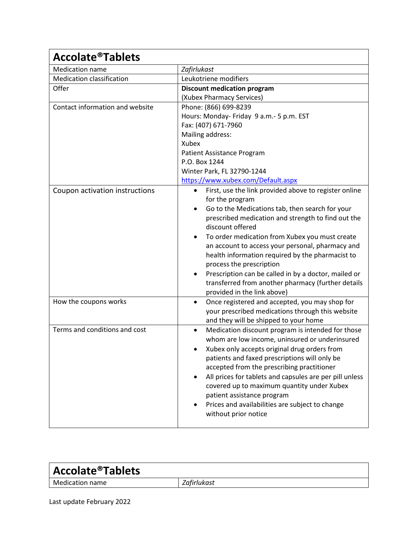| <b>Accolate<sup>®</sup>Tablets</b> |                                                                                                                                                                                                                                                                                                                                                                                                                                                                                   |
|------------------------------------|-----------------------------------------------------------------------------------------------------------------------------------------------------------------------------------------------------------------------------------------------------------------------------------------------------------------------------------------------------------------------------------------------------------------------------------------------------------------------------------|
| <b>Medication name</b>             | Zafirlukast                                                                                                                                                                                                                                                                                                                                                                                                                                                                       |
| <b>Medication classification</b>   | Leukotriene modifiers                                                                                                                                                                                                                                                                                                                                                                                                                                                             |
| Offer                              | <b>Discount medication program</b>                                                                                                                                                                                                                                                                                                                                                                                                                                                |
|                                    | (Xubex Pharmacy Services)                                                                                                                                                                                                                                                                                                                                                                                                                                                         |
| Contact information and website    | Phone: (866) 699-8239                                                                                                                                                                                                                                                                                                                                                                                                                                                             |
|                                    | Hours: Monday- Friday 9 a.m.- 5 p.m. EST                                                                                                                                                                                                                                                                                                                                                                                                                                          |
|                                    | Fax: (407) 671-7960                                                                                                                                                                                                                                                                                                                                                                                                                                                               |
|                                    | Mailing address:                                                                                                                                                                                                                                                                                                                                                                                                                                                                  |
|                                    | Xubex                                                                                                                                                                                                                                                                                                                                                                                                                                                                             |
|                                    | Patient Assistance Program                                                                                                                                                                                                                                                                                                                                                                                                                                                        |
|                                    | P.O. Box 1244                                                                                                                                                                                                                                                                                                                                                                                                                                                                     |
|                                    | Winter Park, FL 32790-1244                                                                                                                                                                                                                                                                                                                                                                                                                                                        |
|                                    | https://www.xubex.com/Default.aspx                                                                                                                                                                                                                                                                                                                                                                                                                                                |
| Coupon activation instructions     | First, use the link provided above to register online<br>$\bullet$<br>for the program<br>Go to the Medications tab, then search for your                                                                                                                                                                                                                                                                                                                                          |
|                                    | prescribed medication and strength to find out the<br>discount offered                                                                                                                                                                                                                                                                                                                                                                                                            |
|                                    | To order medication from Xubex you must create<br>an account to access your personal, pharmacy and<br>health information required by the pharmacist to<br>process the prescription<br>Prescription can be called in by a doctor, mailed or<br>transferred from another pharmacy (further details<br>provided in the link above)                                                                                                                                                   |
| How the coupons works              | Once registered and accepted, you may shop for<br>$\bullet$<br>your prescribed medications through this website<br>and they will be shipped to your home                                                                                                                                                                                                                                                                                                                          |
| Terms and conditions and cost      | Medication discount program is intended for those<br>$\bullet$<br>whom are low income, uninsured or underinsured<br>Xubex only accepts original drug orders from<br>patients and faxed prescriptions will only be<br>accepted from the prescribing practitioner<br>All prices for tablets and capsules are per pill unless<br>covered up to maximum quantity under Xubex<br>patient assistance program<br>Prices and availabilities are subject to change<br>without prior notice |

| <b>Accolate®Tablets</b> |             |
|-------------------------|-------------|
| Medication name         | Zafirlukast |
|                         |             |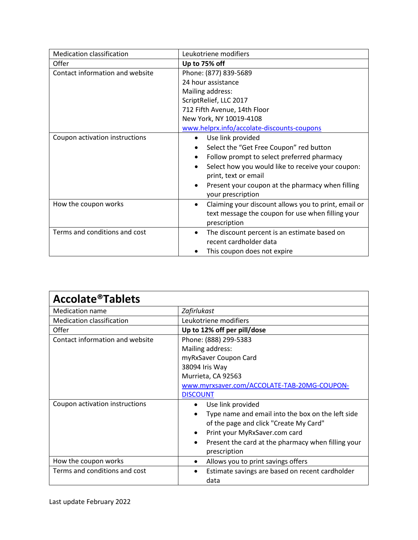| <b>Medication classification</b> | Leukotriene modifiers                                             |
|----------------------------------|-------------------------------------------------------------------|
| Offer                            | Up to 75% off                                                     |
| Contact information and website  | Phone: (877) 839-5689                                             |
|                                  | 24 hour assistance                                                |
|                                  | Mailing address:                                                  |
|                                  | ScriptRelief, LLC 2017                                            |
|                                  | 712 Fifth Avenue, 14th Floor                                      |
|                                  | New York, NY 10019-4108                                           |
|                                  | www.helprx.info/accolate-discounts-coupons                        |
| Coupon activation instructions   | Use link provided<br>٠                                            |
|                                  | Select the "Get Free Coupon" red button<br>$\bullet$              |
|                                  | Follow prompt to select preferred pharmacy                        |
|                                  | Select how you would like to receive your coupon:<br>$\bullet$    |
|                                  | print, text or email                                              |
|                                  | Present your coupon at the pharmacy when filling                  |
|                                  | your prescription                                                 |
| How the coupon works             | Claiming your discount allows you to print, email or<br>$\bullet$ |
|                                  | text message the coupon for use when filling your                 |
|                                  | prescription                                                      |
| Terms and conditions and cost    | The discount percent is an estimate based on<br>$\bullet$         |
|                                  | recent cardholder data                                            |
|                                  | This coupon does not expire                                       |

| <b>Accolate<sup>®</sup>Tablets</b> |                                                                         |
|------------------------------------|-------------------------------------------------------------------------|
| <b>Medication name</b>             | Zafirlukast                                                             |
| <b>Medication classification</b>   | Leukotriene modifiers                                                   |
| Offer                              | Up to 12% off per pill/dose                                             |
| Contact information and website    | Phone: (888) 299-5383                                                   |
|                                    | Mailing address:                                                        |
|                                    | myRxSaver Coupon Card                                                   |
|                                    | 38094 Iris Way                                                          |
|                                    | Murrieta, CA 92563                                                      |
|                                    | www.myrxsaver.com/ACCOLATE-TAB-20MG-COUPON-                             |
|                                    | <b>DISCOUNT</b>                                                         |
| Coupon activation instructions     | Use link provided<br>$\bullet$                                          |
|                                    | Type name and email into the box on the left side<br>$\bullet$          |
|                                    | of the page and click "Create My Card"                                  |
|                                    | Print your MyRxSaver.com card<br>$\bullet$                              |
|                                    | Present the card at the pharmacy when filling your<br>٠<br>prescription |
| How the coupon works               | Allows you to print savings offers<br>٠                                 |
| Terms and conditions and cost      | Estimate savings are based on recent cardholder<br>$\bullet$<br>data    |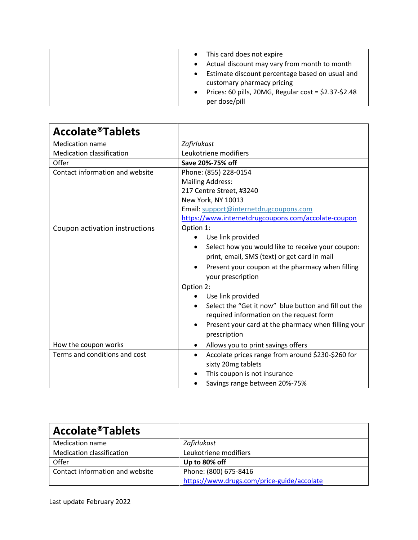| This card does not expire<br>$\bullet$                                                     |
|--------------------------------------------------------------------------------------------|
|                                                                                            |
| Actual discount may vary from month to month                                               |
| Estimate discount percentage based on usual and<br>$\bullet$<br>customary pharmacy pricing |
| Prices: 60 pills, 20MG, Regular cost = $$2.37-\$2.48$                                      |
| per dose/pill                                                                              |

| <b>Accolate®Tablets</b>          |                                                                   |
|----------------------------------|-------------------------------------------------------------------|
| <b>Medication name</b>           | Zafirlukast                                                       |
| <b>Medication classification</b> | Leukotriene modifiers                                             |
| Offer                            | Save 20%-75% off                                                  |
| Contact information and website  | Phone: (855) 228-0154                                             |
|                                  | <b>Mailing Address:</b>                                           |
|                                  | 217 Centre Street, #3240                                          |
|                                  | New York, NY 10013                                                |
|                                  | Email: support@internetdrugcoupons.com                            |
|                                  | https://www.internetdrugcoupons.com/accolate-coupon               |
| Coupon activation instructions   | Option 1:                                                         |
|                                  | Use link provided                                                 |
|                                  | Select how you would like to receive your coupon:<br>$\bullet$    |
|                                  | print, email, SMS (text) or get card in mail                      |
|                                  | Present your coupon at the pharmacy when filling<br>$\bullet$     |
|                                  | your prescription                                                 |
|                                  | Option 2:                                                         |
|                                  | Use link provided                                                 |
|                                  | Select the "Get it now" blue button and fill out the<br>$\bullet$ |
|                                  | required information on the request form                          |
|                                  | Present your card at the pharmacy when filling your               |
|                                  | prescription                                                      |
| How the coupon works             | Allows you to print savings offers<br>$\bullet$                   |
| Terms and conditions and cost    | Accolate prices range from around \$230-\$260 for<br>$\bullet$    |
|                                  | sixty 20mg tablets                                                |
|                                  | This coupon is not insurance                                      |
|                                  | Savings range between 20%-75%<br>$\bullet$                        |

| <b>Accolate®Tablets</b>          |                                            |
|----------------------------------|--------------------------------------------|
| Medication name                  | Zafirlukast                                |
| <b>Medication classification</b> | Leukotriene modifiers                      |
| Offer                            | Up to 80% off                              |
| Contact information and website  | Phone: (800) 675-8416                      |
|                                  | https://www.drugs.com/price-guide/accolate |